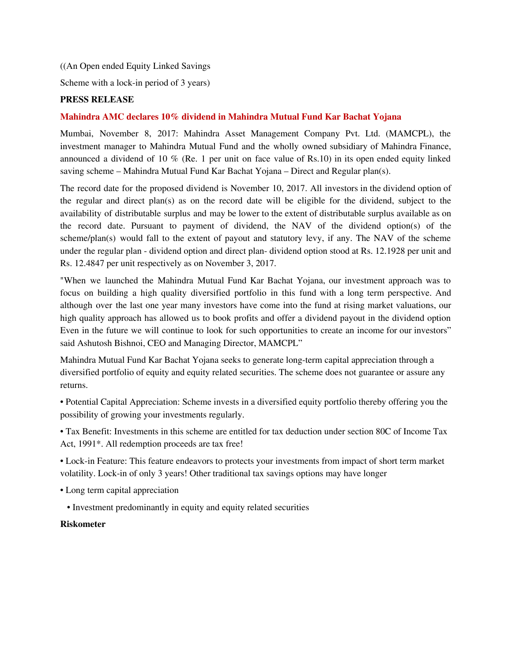((An Open ended Equity Linked Savings

Scheme with a lock-in period of 3 years)

## **PRESS RELEASE**

### **Mahindra AMC declares 10% dividend in Mahindra Mutual Fund Kar Bachat Yojana**

Mumbai, November 8, 2017: Mahindra Asset Management Company Pvt. Ltd. (MAMCPL), the investment manager to Mahindra Mutual Fund and the wholly owned subsidiary of Mahindra Finance, announced a dividend of 10 % (Re. 1 per unit on face value of Rs.10) in its open ended equity linked saving scheme – Mahindra Mutual Fund Kar Bachat Yojana – Direct and Regular plan(s).

The record date for the proposed dividend is November 10, 2017. All investors in the dividend option of the regular and direct plan(s) as on the record date will be eligible for the dividend, subject to the availability of distributable surplus and may be lower to the extent of distributable surplus available as on the record date. Pursuant to payment of dividend, the NAV of the dividend option(s) of the scheme/plan(s) would fall to the extent of payout and statutory levy, if any. The NAV of the scheme under the regular plan - dividend option and direct plan- dividend option stood at Rs. 12.1928 per unit and Rs. 12.4847 per unit respectively as on November 3, 2017.

"When we launched the Mahindra Mutual Fund Kar Bachat Yojana, our investment approach was to focus on building a high quality diversified portfolio in this fund with a long term perspective. And although over the last one year many investors have come into the fund at rising market valuations, our high quality approach has allowed us to book profits and offer a dividend payout in the dividend option Even in the future we will continue to look for such opportunities to create an income for our investors" said Ashutosh Bishnoi, CEO and Managing Director, MAMCPL"

Mahindra Mutual Fund Kar Bachat Yojana seeks to generate long-term capital appreciation through a diversified portfolio of equity and equity related securities. The scheme does not guarantee or assure any returns.

• Potential Capital Appreciation: Scheme invests in a diversified equity portfolio thereby offering you the possibility of growing your investments regularly.

• Tax Benefit: Investments in this scheme are entitled for tax deduction under section 80C of Income Tax Act, 1991\*. All redemption proceeds are tax free!

• Lock-in Feature: This feature endeavors to protects your investments from impact of short term market volatility. Lock-in of only 3 years! Other traditional tax savings options may have longer

- Long term capital appreciation
	- Investment predominantly in equity and equity related securities

#### **Riskometer**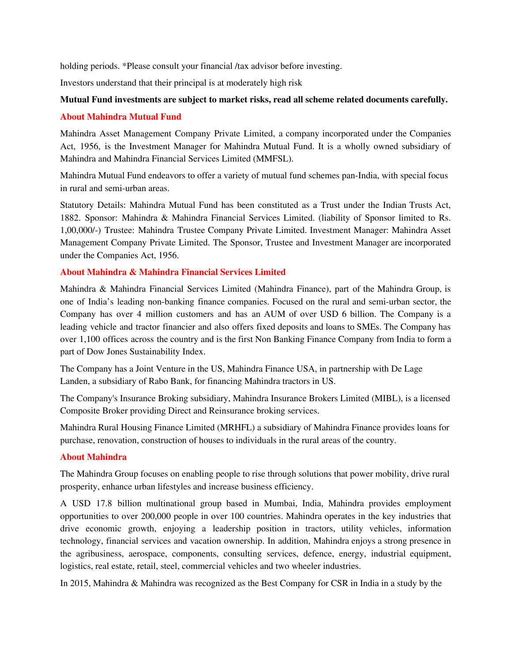holding periods. \*Please consult your financial /tax advisor before investing.

Investors understand that their principal is at moderately high risk

# **Mutual Fund investments are subject to market risks, read all scheme related documents carefully.**

### **About Mahindra Mutual Fund**

Mahindra Asset Management Company Private Limited, a company incorporated under the Companies Act, 1956, is the Investment Manager for Mahindra Mutual Fund. It is a wholly owned subsidiary of Mahindra and Mahindra Financial Services Limited (MMFSL).

Mahindra Mutual Fund endeavors to offer a variety of mutual fund schemes pan-India, with special focus in rural and semi-urban areas.

Statutory Details: Mahindra Mutual Fund has been constituted as a Trust under the Indian Trusts Act, 1882. Sponsor: Mahindra & Mahindra Financial Services Limited. (liability of Sponsor limited to Rs. 1,00,000/-) Trustee: Mahindra Trustee Company Private Limited. Investment Manager: Mahindra Asset Management Company Private Limited. The Sponsor, Trustee and Investment Manager are incorporated under the Companies Act, 1956.

# **About Mahindra & Mahindra Financial Services Limited**

Mahindra & Mahindra Financial Services Limited (Mahindra Finance), part of the Mahindra Group, is one of India's leading non-banking finance companies. Focused on the rural and semi-urban sector, the Company has over 4 million customers and has an AUM of over USD 6 billion. The Company is a leading vehicle and tractor financier and also offers fixed deposits and loans to SMEs. The Company has over 1,100 offices across the country and is the first Non Banking Finance Company from India to form a part of Dow Jones Sustainability Index.

The Company has a Joint Venture in the US, Mahindra Finance USA, in partnership with De Lage Landen, a subsidiary of Rabo Bank, for financing Mahindra tractors in US.

The Company's Insurance Broking subsidiary, Mahindra Insurance Brokers Limited (MIBL), is a licensed Composite Broker providing Direct and Reinsurance broking services.

Mahindra Rural Housing Finance Limited (MRHFL) a subsidiary of Mahindra Finance provides loans for purchase, renovation, construction of houses to individuals in the rural areas of the country.

## **About Mahindra**

The Mahindra Group focuses on enabling people to rise through solutions that power mobility, drive rural prosperity, enhance urban lifestyles and increase business efficiency.

A USD 17.8 billion multinational group based in Mumbai, India, Mahindra provides employment opportunities to over 200,000 people in over 100 countries. Mahindra operates in the key industries that drive economic growth, enjoying a leadership position in tractors, utility vehicles, information technology, financial services and vacation ownership. In addition, Mahindra enjoys a strong presence in the agribusiness, aerospace, components, consulting services, defence, energy, industrial equipment, logistics, real estate, retail, steel, commercial vehicles and two wheeler industries.

In 2015, Mahindra & Mahindra was recognized as the Best Company for CSR in India in a study by the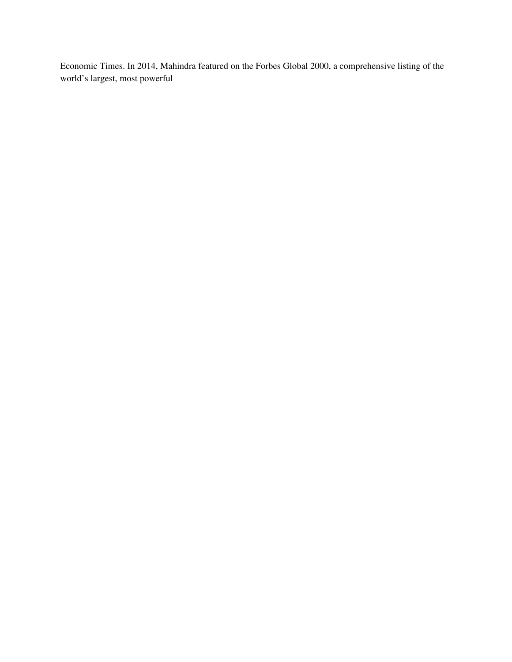Economic Times. In 2014, Mahindra featured on the Forbes Global 2000, a comprehensive listing of the world's largest, most powerful